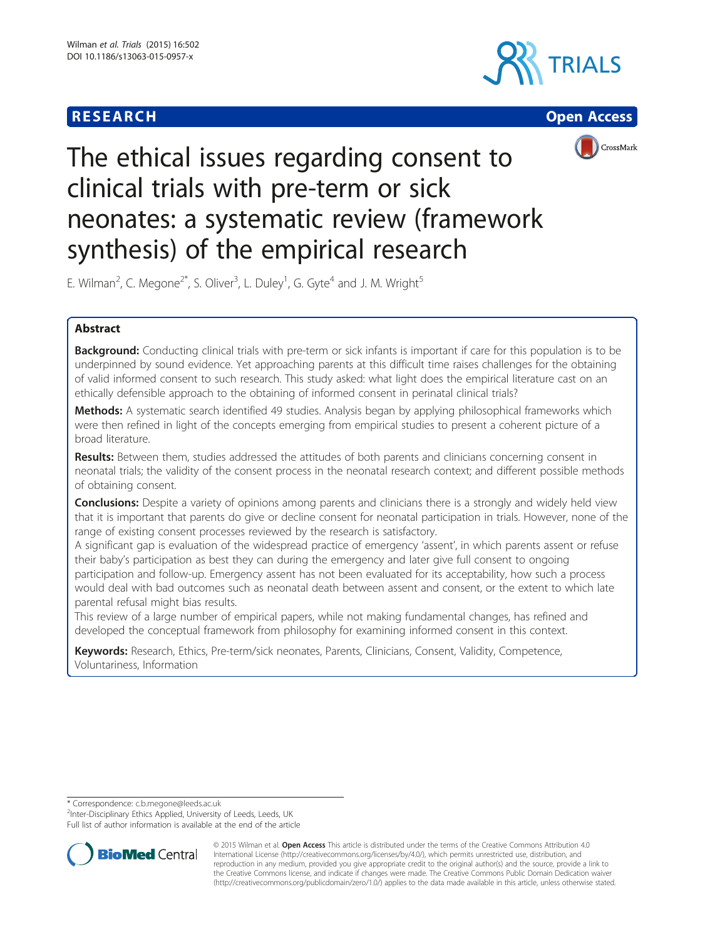# **RESEARCH CHEAR CHEAR CHEAR CHEAR CHEAR CHEAR CHEAR CHEAR CHEAR CHEAR CHEAR CHEAR CHEAR CHEAR CHEAR CHEAR CHEAR**







# The ethical issues regarding consent to clinical trials with pre-term or sick neonates: a systematic review (framework synthesis) of the empirical research

E. Wilman<sup>2</sup>, C. Megone<sup>2\*</sup>, S. Oliver<sup>3</sup>, L. Duley<sup>1</sup>, G. Gyte<sup>4</sup> and J. M. Wright<sup>5</sup>

# Abstract

**Background:** Conducting clinical trials with pre-term or sick infants is important if care for this population is to be underpinned by sound evidence. Yet approaching parents at this difficult time raises challenges for the obtaining of valid informed consent to such research. This study asked: what light does the empirical literature cast on an ethically defensible approach to the obtaining of informed consent in perinatal clinical trials?

Methods: A systematic search identified 49 studies. Analysis began by applying philosophical frameworks which were then refined in light of the concepts emerging from empirical studies to present a coherent picture of a broad literature.

Results: Between them, studies addressed the attitudes of both parents and clinicians concerning consent in neonatal trials; the validity of the consent process in the neonatal research context; and different possible methods of obtaining consent.

**Conclusions:** Despite a variety of opinions among parents and clinicians there is a strongly and widely held view that it is important that parents do give or decline consent for neonatal participation in trials. However, none of the range of existing consent processes reviewed by the research is satisfactory.

A significant gap is evaluation of the widespread practice of emergency 'assent', in which parents assent or refuse their baby's participation as best they can during the emergency and later give full consent to ongoing participation and follow-up. Emergency assent has not been evaluated for its acceptability, how such a process would deal with bad outcomes such as neonatal death between assent and consent, or the extent to which late parental refusal might bias results.

This review of a large number of empirical papers, while not making fundamental changes, has refined and developed the conceptual framework from philosophy for examining informed consent in this context.

Keywords: Research, Ethics, Pre-term/sick neonates, Parents, Clinicians, Consent, Validity, Competence, Voluntariness, Information

\* Correspondence: [c.b.megone@leeds.ac.uk](mailto:c.b.megone@leeds.ac.uk) <sup>2</sup>

<sup>2</sup>Inter-Disciplinary Ethics Applied, University of Leeds, Leeds, UK

Full list of author information is available at the end of the article



© 2015 Wilman et al. Open Access This article is distributed under the terms of the Creative Commons Attribution 4.0 International License [\(http://creativecommons.org/licenses/by/4.0/](http://creativecommons.org/licenses/by/4.0/)), which permits unrestricted use, distribution, and reproduction in any medium, provided you give appropriate credit to the original author(s) and the source, provide a link to the Creative Commons license, and indicate if changes were made. The Creative Commons Public Domain Dedication waiver [\(http://creativecommons.org/publicdomain/zero/1.0/](http://creativecommons.org/publicdomain/zero/1.0/)) applies to the data made available in this article, unless otherwise stated.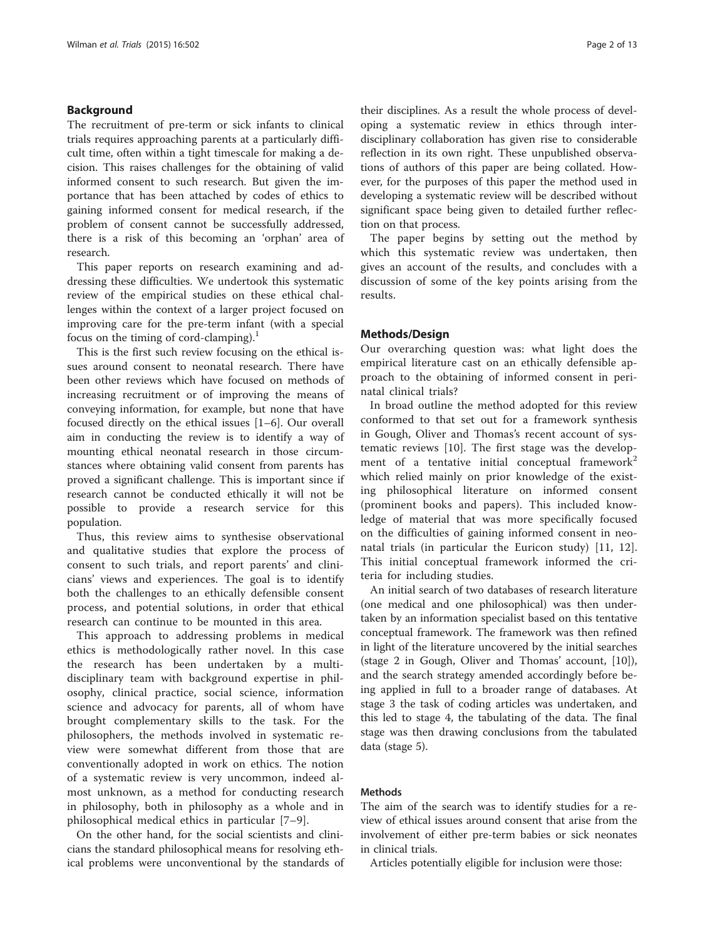#### Background

The recruitment of pre-term or sick infants to clinical trials requires approaching parents at a particularly difficult time, often within a tight timescale for making a decision. This raises challenges for the obtaining of valid informed consent to such research. But given the importance that has been attached by codes of ethics to gaining informed consent for medical research, if the problem of consent cannot be successfully addressed, there is a risk of this becoming an 'orphan' area of research.

This paper reports on research examining and addressing these difficulties. We undertook this systematic review of the empirical studies on these ethical challenges within the context of a larger project focused on improving care for the pre-term infant (with a special focus on the timing of cord-clamping).<sup>1</sup>

This is the first such review focusing on the ethical issues around consent to neonatal research. There have been other reviews which have focused on methods of increasing recruitment or of improving the means of conveying information, for example, but none that have focused directly on the ethical issues [\[1](#page-10-0)–[6\]](#page-10-0). Our overall aim in conducting the review is to identify a way of mounting ethical neonatal research in those circumstances where obtaining valid consent from parents has proved a significant challenge. This is important since if research cannot be conducted ethically it will not be possible to provide a research service for this population.

Thus, this review aims to synthesise observational and qualitative studies that explore the process of consent to such trials, and report parents' and clinicians' views and experiences. The goal is to identify both the challenges to an ethically defensible consent process, and potential solutions, in order that ethical research can continue to be mounted in this area.

This approach to addressing problems in medical ethics is methodologically rather novel. In this case the research has been undertaken by a multidisciplinary team with background expertise in philosophy, clinical practice, social science, information science and advocacy for parents, all of whom have brought complementary skills to the task. For the philosophers, the methods involved in systematic review were somewhat different from those that are conventionally adopted in work on ethics. The notion of a systematic review is very uncommon, indeed almost unknown, as a method for conducting research in philosophy, both in philosophy as a whole and in philosophical medical ethics in particular [[7](#page-11-0)–[9\]](#page-11-0).

On the other hand, for the social scientists and clinicians the standard philosophical means for resolving ethical problems were unconventional by the standards of their disciplines. As a result the whole process of developing a systematic review in ethics through interdisciplinary collaboration has given rise to considerable reflection in its own right. These unpublished observations of authors of this paper are being collated. However, for the purposes of this paper the method used in developing a systematic review will be described without significant space being given to detailed further reflection on that process.

The paper begins by setting out the method by which this systematic review was undertaken, then gives an account of the results, and concludes with a discussion of some of the key points arising from the results.

#### Methods/Design

Our overarching question was: what light does the empirical literature cast on an ethically defensible approach to the obtaining of informed consent in perinatal clinical trials?

In broad outline the method adopted for this review conformed to that set out for a framework synthesis in Gough, Oliver and Thomas's recent account of systematic reviews [[10\]](#page-11-0). The first stage was the development of a tentative initial conceptual framework<sup>2</sup> which relied mainly on prior knowledge of the existing philosophical literature on informed consent (prominent books and papers). This included knowledge of material that was more specifically focused on the difficulties of gaining informed consent in neonatal trials (in particular the Euricon study) [[11](#page-11-0), [12](#page-11-0)]. This initial conceptual framework informed the criteria for including studies.

An initial search of two databases of research literature (one medical and one philosophical) was then undertaken by an information specialist based on this tentative conceptual framework. The framework was then refined in light of the literature uncovered by the initial searches (stage 2 in Gough, Oliver and Thomas' account, [\[10](#page-11-0)]), and the search strategy amended accordingly before being applied in full to a broader range of databases. At stage 3 the task of coding articles was undertaken, and this led to stage 4, the tabulating of the data. The final stage was then drawing conclusions from the tabulated data (stage 5).

## Methods

The aim of the search was to identify studies for a review of ethical issues around consent that arise from the involvement of either pre-term babies or sick neonates in clinical trials.

Articles potentially eligible for inclusion were those: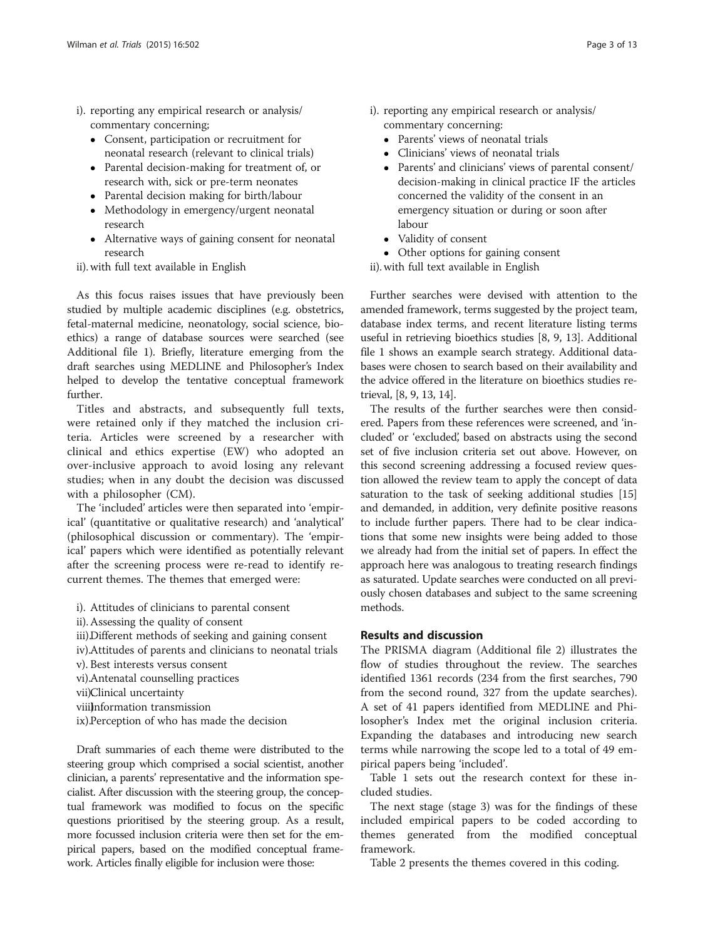- i). reporting any empirical research or analysis/ commentary concerning;
	- Consent, participation or recruitment for neonatal research (relevant to clinical trials)
	- Parental decision-making for treatment of, or research with, sick or pre-term neonates
	- Parental decision making for birth/labour
	- Methodology in emergency/urgent neonatal research
	- Alternative ways of gaining consent for neonatal research

ii). with full text available in English

As this focus raises issues that have previously been studied by multiple academic disciplines (e.g. obstetrics, fetal-maternal medicine, neonatology, social science, bioethics) a range of database sources were searched (see Additional file [1](#page-10-0)). Briefly, literature emerging from the draft searches using MEDLINE and Philosopher's Index helped to develop the tentative conceptual framework further.

Titles and abstracts, and subsequently full texts, were retained only if they matched the inclusion criteria. Articles were screened by a researcher with clinical and ethics expertise (EW) who adopted an over-inclusive approach to avoid losing any relevant studies; when in any doubt the decision was discussed with a philosopher (CM).

The 'included' articles were then separated into 'empirical' (quantitative or qualitative research) and 'analytical' (philosophical discussion or commentary). The 'empirical' papers which were identified as potentially relevant after the screening process were re-read to identify recurrent themes. The themes that emerged were:

- i). Attitudes of clinicians to parental consent
- ii). Assessing the quality of consent
- iii).Different methods of seeking and gaining consent
- iv).Attitudes of parents and clinicians to neonatal trials
- v). Best interests versus consent
- vi).Antenatal counselling practices
- vii).Clinical uncertainty
- viiilnformation transmission
- ix).Perception of who has made the decision

Draft summaries of each theme were distributed to the steering group which comprised a social scientist, another clinician, a parents' representative and the information specialist. After discussion with the steering group, the conceptual framework was modified to focus on the specific questions prioritised by the steering group. As a result, more focussed inclusion criteria were then set for the empirical papers, based on the modified conceptual framework. Articles finally eligible for inclusion were those:

- Parents' views of neonatal trials
- Clinicians' views of neonatal trials
- Parents' and clinicians' views of parental consent/ decision-making in clinical practice IF the articles concerned the validity of the consent in an emergency situation or during or soon after labour
- Validity of consent
- Other options for gaining consent

ii). with full text available in English

Further searches were devised with attention to the amended framework, terms suggested by the project team, database index terms, and recent literature listing terms useful in retrieving bioethics studies [[8](#page-11-0), [9, 13\]](#page-11-0). Additional file [1](#page-10-0) shows an example search strategy. Additional databases were chosen to search based on their availability and the advice offered in the literature on bioethics studies retrieval, [\[8](#page-11-0), [9, 13, 14](#page-11-0)].

The results of the further searches were then considered. Papers from these references were screened, and 'included' or 'excluded', based on abstracts using the second set of five inclusion criteria set out above. However, on this second screening addressing a focused review question allowed the review team to apply the concept of data saturation to the task of seeking additional studies [[15](#page-11-0)] and demanded, in addition, very definite positive reasons to include further papers. There had to be clear indications that some new insights were being added to those we already had from the initial set of papers. In effect the approach here was analogous to treating research findings as saturated. Update searches were conducted on all previously chosen databases and subject to the same screening methods.

#### Results and discussion

The PRISMA diagram (Additional file [2\)](#page-10-0) illustrates the flow of studies throughout the review. The searches identified 1361 records (234 from the first searches, 790 from the second round, 327 from the update searches). A set of 41 papers identified from MEDLINE and Philosopher's Index met the original inclusion criteria. Expanding the databases and introducing new search terms while narrowing the scope led to a total of 49 empirical papers being 'included'.

Table [1](#page-3-0) sets out the research context for these included studies.

The next stage (stage 3) was for the findings of these included empirical papers to be coded according to themes generated from the modified conceptual framework.

Table [2](#page-4-0) presents the themes covered in this coding.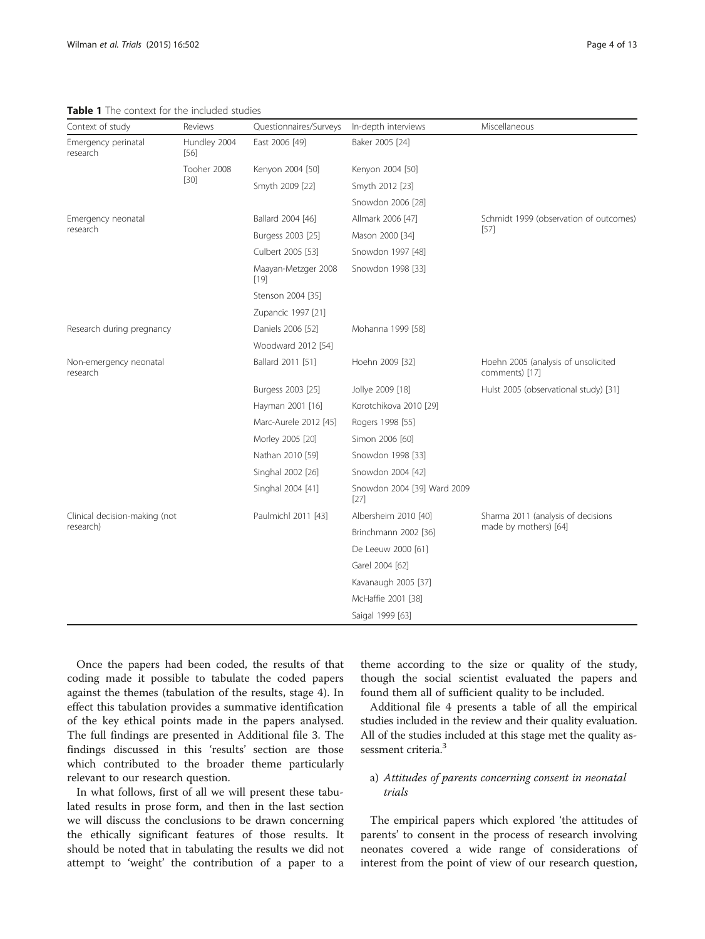<span id="page-3-0"></span>Table 1 The context for the included studies

| Context of study                           | Reviews               | Questionnaires/Surveys        | In-depth interviews                   | Miscellaneous                                               |
|--------------------------------------------|-----------------------|-------------------------------|---------------------------------------|-------------------------------------------------------------|
| Emergency perinatal<br>research            | Hundley 2004<br>[56]  | East 2006 [49]                | Baker 2005 [24]                       |                                                             |
|                                            | Tooher 2008<br>$[30]$ | Kenyon 2004 [50]              | Kenyon 2004 [50]                      |                                                             |
|                                            |                       | Smyth 2009 [22]               | Smyth 2012 [23]                       |                                                             |
|                                            |                       |                               | Snowdon 2006 [28]                     |                                                             |
| Emergency neonatal<br>research             |                       | Ballard 2004 [46]             | Allmark 2006 [47]                     | Schmidt 1999 (observation of outcomes)<br>$[57]$            |
|                                            |                       | Burgess 2003 [25]             | Mason 2000 [34]                       |                                                             |
|                                            |                       | Culbert 2005 [53]             | Snowdon 1997 [48]                     |                                                             |
|                                            |                       | Maayan-Metzger 2008<br>$[19]$ | Snowdon 1998 [33]                     |                                                             |
|                                            |                       | Stenson 2004 [35]             |                                       |                                                             |
|                                            |                       | Zupancic 1997 [21]            |                                       |                                                             |
| Research during pregnancy                  |                       | Daniels 2006 [52]             | Mohanna 1999 [58]                     |                                                             |
|                                            |                       | Woodward 2012 [54]            |                                       |                                                             |
| Non-emergency neonatal<br>research         |                       | Ballard 2011 [51]             | Hoehn 2009 [32]                       | Hoehn 2005 (analysis of unsolicited<br>comments) [17]       |
|                                            |                       | Burgess 2003 [25]             | Jollye 2009 [18]                      | Hulst 2005 (observational study) [31]                       |
|                                            |                       | Hayman 2001 [16]              | Korotchikova 2010 [29]                |                                                             |
|                                            |                       | Marc-Aurele 2012 [45]         | Rogers 1998 [55]                      |                                                             |
|                                            |                       | Morley 2005 [20]              | Simon 2006 [60]                       |                                                             |
|                                            |                       | Nathan 2010 [59]              | Snowdon 1998 [33]                     |                                                             |
|                                            |                       | Singhal 2002 [26]             | Snowdon 2004 [42]                     |                                                             |
|                                            |                       | Singhal 2004 [41]             | Snowdon 2004 [39] Ward 2009<br>$[27]$ |                                                             |
| Clinical decision-making (not<br>research) |                       | Paulmichl 2011 [43]           | Albersheim 2010 [40]                  | Sharma 2011 (analysis of decisions<br>made by mothers) [64] |
|                                            |                       |                               | Brinchmann 2002 [36]                  |                                                             |
|                                            |                       |                               | De Leeuw 2000 [61]                    |                                                             |
|                                            |                       |                               | Garel 2004 [62]                       |                                                             |
|                                            |                       |                               | Kavanaugh 2005 [37]                   |                                                             |
|                                            |                       |                               | McHaffie 2001 [38]                    |                                                             |
|                                            |                       |                               | Saigal 1999 [63]                      |                                                             |

Once the papers had been coded, the results of that coding made it possible to tabulate the coded papers against the themes (tabulation of the results, stage 4). In effect this tabulation provides a summative identification of the key ethical points made in the papers analysed. The full findings are presented in Additional file [3.](#page-10-0) The findings discussed in this 'results' section are those which contributed to the broader theme particularly relevant to our research question.

In what follows, first of all we will present these tabulated results in prose form, and then in the last section we will discuss the conclusions to be drawn concerning the ethically significant features of those results. It should be noted that in tabulating the results we did not attempt to 'weight' the contribution of a paper to a

theme according to the size or quality of the study, though the social scientist evaluated the papers and found them all of sufficient quality to be included.

Additional file [4](#page-10-0) presents a table of all the empirical studies included in the review and their quality evaluation. All of the studies included at this stage met the quality assessment criteria.<sup>3</sup>

# a) Attitudes of parents concerning consent in neonatal trials

The empirical papers which explored 'the attitudes of parents' to consent in the process of research involving neonates covered a wide range of considerations of interest from the point of view of our research question,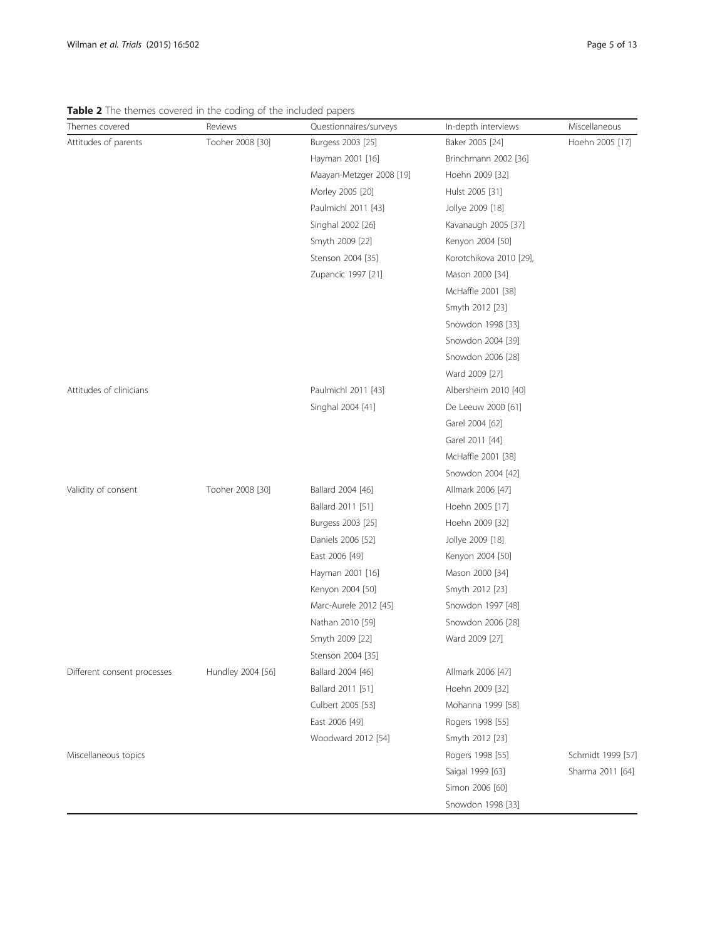<span id="page-4-0"></span>Table 2 The themes covered in the coding of the included papers

| Themes covered              | Reviews           | Questionnaires/surveys   | In-depth interviews     | Miscellaneous     |
|-----------------------------|-------------------|--------------------------|-------------------------|-------------------|
| Attitudes of parents        | Tooher 2008 [30]  | Burgess 2003 [25]        | Baker 2005 [24]         | Hoehn 2005 [17]   |
|                             |                   | Hayman 2001 [16]         | Brinchmann 2002 [36]    |                   |
|                             |                   | Maayan-Metzger 2008 [19] | Hoehn 2009 [32]         |                   |
|                             |                   | Morley 2005 [20]         | Hulst 2005 [31]         |                   |
|                             |                   | Paulmichl 2011 [43]      | Jollye 2009 [18]        |                   |
|                             |                   | Singhal 2002 [26]        | Kavanaugh 2005 [37]     |                   |
|                             |                   | Smyth 2009 [22]          | Kenyon 2004 [50]        |                   |
|                             |                   | Stenson 2004 [35]        | Korotchikova 2010 [29], |                   |
|                             |                   | Zupancic 1997 [21]       | Mason 2000 [34]         |                   |
|                             |                   |                          | McHaffie 2001 [38]      |                   |
|                             |                   |                          | Smyth 2012 [23]         |                   |
|                             |                   |                          | Snowdon 1998 [33]       |                   |
|                             |                   |                          | Snowdon 2004 [39]       |                   |
|                             |                   |                          | Snowdon 2006 [28]       |                   |
|                             |                   |                          | Ward 2009 [27]          |                   |
| Attitudes of clinicians     |                   | Paulmichl 2011 [43]      | Albersheim 2010 [40]    |                   |
|                             |                   | Singhal 2004 [41]        | De Leeuw 2000 [61]      |                   |
|                             |                   |                          | Garel 2004 [62]         |                   |
|                             |                   |                          | Garel 2011 [44]         |                   |
|                             |                   |                          | McHaffie 2001 [38]      |                   |
|                             |                   |                          | Snowdon 2004 [42]       |                   |
| Validity of consent         | Tooher 2008 [30]  | Ballard 2004 [46]        | Allmark 2006 [47]       |                   |
|                             |                   | Ballard 2011 [51]        | Hoehn 2005 [17]         |                   |
|                             |                   | Burgess 2003 [25]        | Hoehn 2009 [32]         |                   |
|                             |                   | Daniels 2006 [52]        | Jollye 2009 [18]        |                   |
|                             |                   | East 2006 [49]           | Kenyon 2004 [50]        |                   |
|                             |                   | Hayman 2001 [16]         | Mason 2000 [34]         |                   |
|                             |                   | Kenyon 2004 [50]         | Smyth 2012 [23]         |                   |
|                             |                   | Marc-Aurele 2012 [45]    | Snowdon 1997 [48]       |                   |
|                             |                   | Nathan 2010 [59]         | Snowdon 2006 [28]       |                   |
|                             |                   | Smyth 2009 [22]          | Ward 2009 [27]          |                   |
|                             |                   | Stenson 2004 [35]        |                         |                   |
| Different consent processes | Hundley 2004 [56] | Ballard 2004 [46]        | Allmark 2006 [47]       |                   |
|                             |                   | Ballard 2011 [51]        | Hoehn 2009 [32]         |                   |
|                             |                   | Culbert 2005 [53]        | Mohanna 1999 [58]       |                   |
|                             |                   | East 2006 [49]           | Rogers 1998 [55]        |                   |
|                             |                   | Woodward 2012 [54]       | Smyth 2012 [23]         |                   |
| Miscellaneous topics        |                   |                          | Rogers 1998 [55]        | Schmidt 1999 [57] |
|                             |                   |                          | Saigal 1999 [63]        | Sharma 2011 [64]  |
|                             |                   |                          | Simon 2006 [60]         |                   |
|                             |                   |                          | Snowdon 1998 [33]       |                   |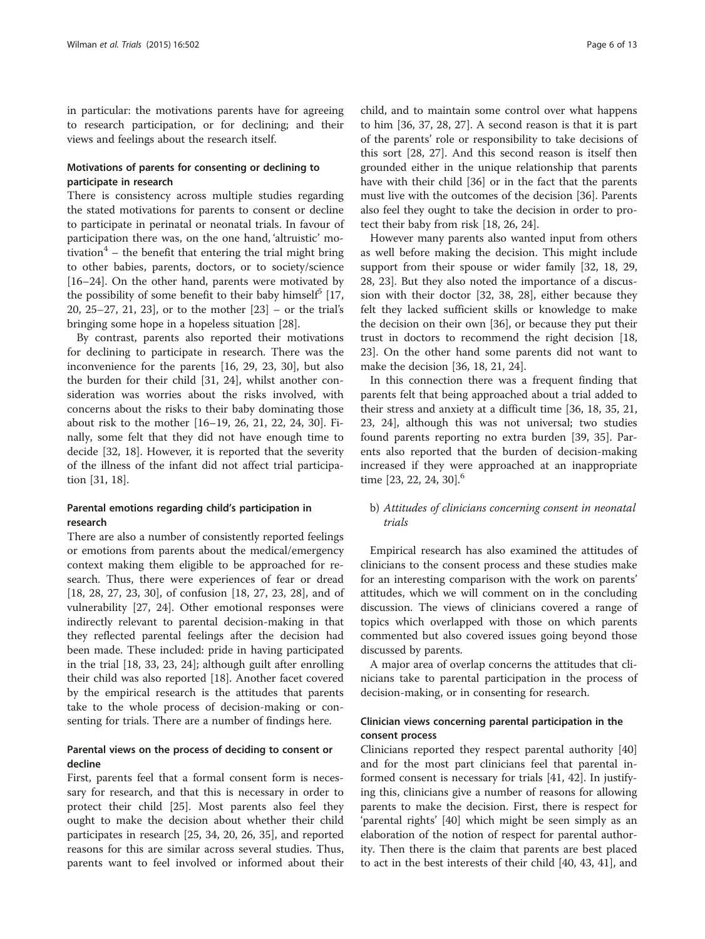in particular: the motivations parents have for agreeing to research participation, or for declining; and their views and feelings about the research itself.

## Motivations of parents for consenting or declining to participate in research

There is consistency across multiple studies regarding the stated motivations for parents to consent or decline to participate in perinatal or neonatal trials. In favour of participation there was, on the one hand, 'altruistic' motivation<sup>4</sup> – the benefit that entering the trial might bring to other babies, parents, doctors, or to society/science [[16](#page-11-0)–[24](#page-11-0)]. On the other hand, parents were motivated by the possibility of some benefit to their baby himself<sup>5</sup> [[17](#page-11-0), [20, 25](#page-11-0)–[27, 21](#page-11-0), [23\]](#page-11-0), or to the mother [\[23](#page-11-0)] – or the trial's bringing some hope in a hopeless situation [[28](#page-11-0)].

By contrast, parents also reported their motivations for declining to participate in research. There was the inconvenience for the parents [\[16](#page-11-0), [29](#page-11-0), [23](#page-11-0), [30\]](#page-11-0), but also the burden for their child [[31, 24\]](#page-11-0), whilst another consideration was worries about the risks involved, with concerns about the risks to their baby dominating those about risk to the mother [[16](#page-11-0)–[19, 26](#page-11-0), [21, 22](#page-11-0), [24, 30](#page-11-0)]. Finally, some felt that they did not have enough time to decide [[32, 18](#page-11-0)]. However, it is reported that the severity of the illness of the infant did not affect trial participation [\[31, 18\]](#page-11-0).

# Parental emotions regarding child's participation in research

There are also a number of consistently reported feelings or emotions from parents about the medical/emergency context making them eligible to be approached for research. Thus, there were experiences of fear or dread [[18, 28](#page-11-0), [27, 23](#page-11-0), [30\]](#page-11-0), of confusion [[18, 27](#page-11-0), [23, 28](#page-11-0)], and of vulnerability [\[27](#page-11-0), [24\]](#page-11-0). Other emotional responses were indirectly relevant to parental decision-making in that they reflected parental feelings after the decision had been made. These included: pride in having participated in the trial [\[18, 33](#page-11-0), [23](#page-11-0), [24\]](#page-11-0); although guilt after enrolling their child was also reported [[18\]](#page-11-0). Another facet covered by the empirical research is the attitudes that parents take to the whole process of decision-making or consenting for trials. There are a number of findings here.

#### Parental views on the process of deciding to consent or decline

First, parents feel that a formal consent form is necessary for research, and that this is necessary in order to protect their child [\[25](#page-11-0)]. Most parents also feel they ought to make the decision about whether their child participates in research [\[25](#page-11-0), [34](#page-11-0), [20, 26, 35\]](#page-11-0), and reported reasons for this are similar across several studies. Thus, parents want to feel involved or informed about their

child, and to maintain some control over what happens to him [[36](#page-11-0), [37, 28, 27](#page-11-0)]. A second reason is that it is part of the parents' role or responsibility to take decisions of this sort [[28, 27\]](#page-11-0). And this second reason is itself then grounded either in the unique relationship that parents have with their child [\[36](#page-11-0)] or in the fact that the parents must live with the outcomes of the decision [\[36\]](#page-11-0). Parents also feel they ought to take the decision in order to protect their baby from risk [[18, 26](#page-11-0), [24](#page-11-0)].

However many parents also wanted input from others as well before making the decision. This might include support from their spouse or wider family [[32, 18, 29](#page-11-0), [28, 23](#page-11-0)]. But they also noted the importance of a discussion with their doctor [[32](#page-11-0), [38, 28\]](#page-11-0), either because they felt they lacked sufficient skills or knowledge to make the decision on their own [[36\]](#page-11-0), or because they put their trust in doctors to recommend the right decision [[18](#page-11-0), [23\]](#page-11-0). On the other hand some parents did not want to make the decision [[36, 18, 21, 24\]](#page-11-0).

In this connection there was a frequent finding that parents felt that being approached about a trial added to their stress and anxiety at a difficult time [\[36, 18](#page-11-0), [35](#page-11-0), [21](#page-11-0), [23, 24](#page-11-0)], although this was not universal; two studies found parents reporting no extra burden [[39, 35\]](#page-11-0). Parents also reported that the burden of decision-making increased if they were approached at an inappropriate time [\[23, 22, 24, 30\]](#page-11-0).<sup>6</sup>

### b) Attitudes of clinicians concerning consent in neonatal trials

Empirical research has also examined the attitudes of clinicians to the consent process and these studies make for an interesting comparison with the work on parents' attitudes, which we will comment on in the concluding discussion. The views of clinicians covered a range of topics which overlapped with those on which parents commented but also covered issues going beyond those discussed by parents.

A major area of overlap concerns the attitudes that clinicians take to parental participation in the process of decision-making, or in consenting for research.

#### Clinician views concerning parental participation in the consent process

Clinicians reported they respect parental authority [[40](#page-11-0)] and for the most part clinicians feel that parental informed consent is necessary for trials [\[41, 42](#page-11-0)]. In justifying this, clinicians give a number of reasons for allowing parents to make the decision. First, there is respect for 'parental rights' [\[40](#page-11-0)] which might be seen simply as an elaboration of the notion of respect for parental authority. Then there is the claim that parents are best placed to act in the best interests of their child [\[40, 43](#page-11-0), [41](#page-11-0)], and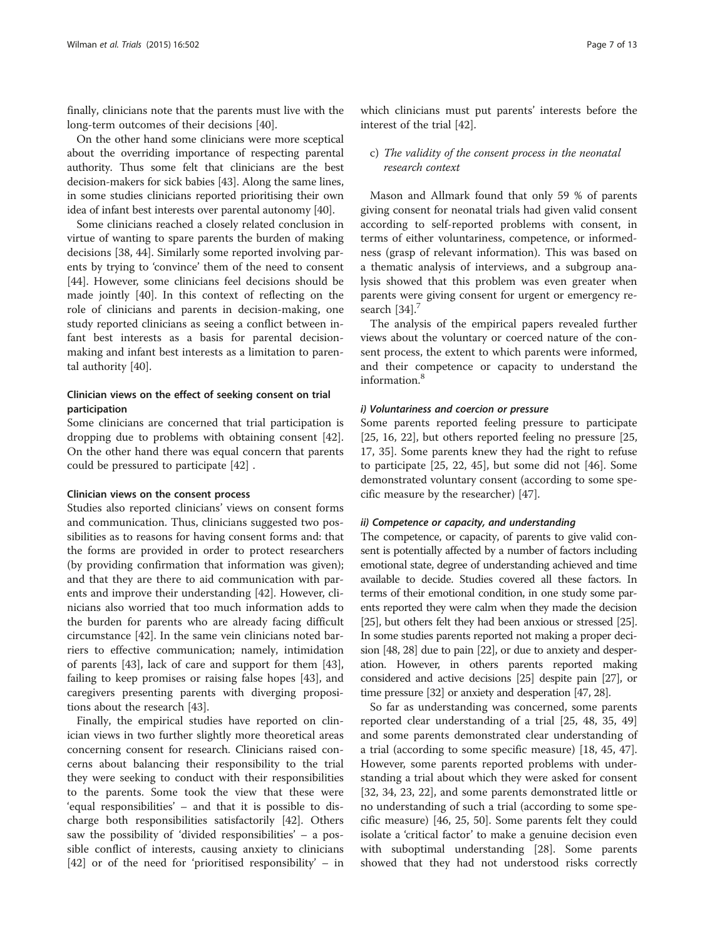finally, clinicians note that the parents must live with the long-term outcomes of their decisions [\[40](#page-11-0)].

On the other hand some clinicians were more sceptical about the overriding importance of respecting parental authority. Thus some felt that clinicians are the best decision-makers for sick babies [\[43\]](#page-11-0). Along the same lines, in some studies clinicians reported prioritising their own idea of infant best interests over parental autonomy [\[40\]](#page-11-0).

Some clinicians reached a closely related conclusion in virtue of wanting to spare parents the burden of making decisions [\[38, 44\]](#page-11-0). Similarly some reported involving parents by trying to 'convince' them of the need to consent [[44\]](#page-11-0). However, some clinicians feel decisions should be made jointly [[40](#page-11-0)]. In this context of reflecting on the role of clinicians and parents in decision-making, one study reported clinicians as seeing a conflict between infant best interests as a basis for parental decisionmaking and infant best interests as a limitation to parental authority [[40\]](#page-11-0).

# Clinician views on the effect of seeking consent on trial participation

Some clinicians are concerned that trial participation is dropping due to problems with obtaining consent [\[42](#page-11-0)]. On the other hand there was equal concern that parents could be pressured to participate [[42](#page-11-0)] .

#### Clinician views on the consent process

Studies also reported clinicians' views on consent forms and communication. Thus, clinicians suggested two possibilities as to reasons for having consent forms and: that the forms are provided in order to protect researchers (by providing confirmation that information was given); and that they are there to aid communication with parents and improve their understanding [\[42](#page-11-0)]. However, clinicians also worried that too much information adds to the burden for parents who are already facing difficult circumstance [[42\]](#page-11-0). In the same vein clinicians noted barriers to effective communication; namely, intimidation of parents [[43\]](#page-11-0), lack of care and support for them [\[43](#page-11-0)], failing to keep promises or raising false hopes [[43](#page-11-0)], and caregivers presenting parents with diverging propositions about the research [[43\]](#page-11-0).

Finally, the empirical studies have reported on clinician views in two further slightly more theoretical areas concerning consent for research. Clinicians raised concerns about balancing their responsibility to the trial they were seeking to conduct with their responsibilities to the parents. Some took the view that these were 'equal responsibilities' – and that it is possible to discharge both responsibilities satisfactorily [\[42](#page-11-0)]. Others saw the possibility of 'divided responsibilities' – a possible conflict of interests, causing anxiety to clinicians [[42\]](#page-11-0) or of the need for 'prioritised responsibility' – in

which clinicians must put parents' interests before the interest of the trial [\[42](#page-11-0)].

# c) The validity of the consent process in the neonatal research context

Mason and Allmark found that only 59 % of parents giving consent for neonatal trials had given valid consent according to self-reported problems with consent, in terms of either voluntariness, competence, or informedness (grasp of relevant information). This was based on a thematic analysis of interviews, and a subgroup analysis showed that this problem was even greater when parents were giving consent for urgent or emergency research  $[34]$  $[34]$ .

The analysis of the empirical papers revealed further views about the voluntary or coerced nature of the consent process, the extent to which parents were informed, and their competence or capacity to understand the information.<sup>8</sup>

#### i) Voluntariness and coercion or pressure

Some parents reported feeling pressure to participate [[25, 16](#page-11-0), [22](#page-11-0)], but others reported feeling no pressure [[25](#page-11-0), [17, 35](#page-11-0)]. Some parents knew they had the right to refuse to participate [[25, 22](#page-11-0), [45](#page-11-0)], but some did not [\[46\]](#page-11-0). Some demonstrated voluntary consent (according to some specific measure by the researcher) [\[47](#page-11-0)].

#### ii) Competence or capacity, and understanding

The competence, or capacity, of parents to give valid consent is potentially affected by a number of factors including emotional state, degree of understanding achieved and time available to decide. Studies covered all these factors. In terms of their emotional condition, in one study some parents reported they were calm when they made the decision [[25](#page-11-0)], but others felt they had been anxious or stressed [\[25](#page-11-0)]. In some studies parents reported not making a proper decision [[48, 28](#page-11-0)] due to pain [\[22](#page-11-0)], or due to anxiety and desperation. However, in others parents reported making considered and active decisions [\[25\]](#page-11-0) despite pain [\[27\]](#page-11-0), or time pressure [\[32\]](#page-11-0) or anxiety and desperation [\[47](#page-11-0), [28](#page-11-0)].

So far as understanding was concerned, some parents reported clear understanding of a trial [\[25](#page-11-0), [48, 35, 49](#page-11-0)] and some parents demonstrated clear understanding of a trial (according to some specific measure) [[18, 45, 47](#page-11-0)]. However, some parents reported problems with understanding a trial about which they were asked for consent [[32, 34, 23](#page-11-0), [22](#page-11-0)], and some parents demonstrated little or no understanding of such a trial (according to some specific measure) [\[46, 25](#page-11-0), [50\]](#page-11-0). Some parents felt they could isolate a 'critical factor' to make a genuine decision even with suboptimal understanding [\[28](#page-11-0)]. Some parents showed that they had not understood risks correctly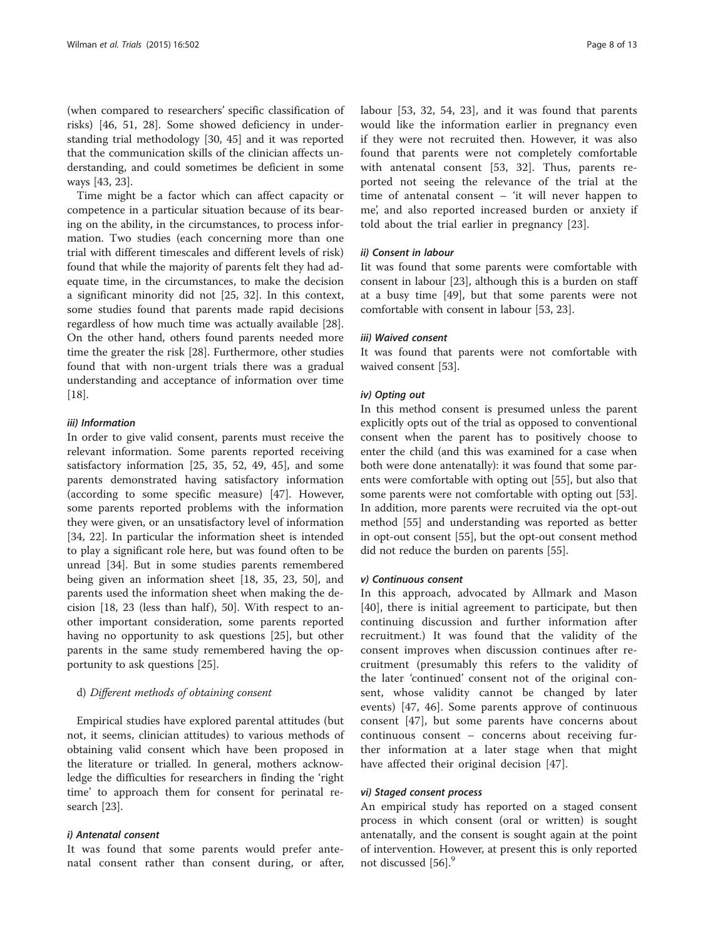(when compared to researchers' specific classification of risks) [[46, 51, 28\]](#page-11-0). Some showed deficiency in understanding trial methodology [[30](#page-11-0), [45](#page-11-0)] and it was reported that the communication skills of the clinician affects understanding, and could sometimes be deficient in some ways [\[43](#page-11-0), [23\]](#page-11-0).

Time might be a factor which can affect capacity or competence in a particular situation because of its bearing on the ability, in the circumstances, to process information. Two studies (each concerning more than one trial with different timescales and different levels of risk) found that while the majority of parents felt they had adequate time, in the circumstances, to make the decision a significant minority did not [[25, 32\]](#page-11-0). In this context, some studies found that parents made rapid decisions regardless of how much time was actually available [\[28](#page-11-0)]. On the other hand, others found parents needed more time the greater the risk [\[28](#page-11-0)]. Furthermore, other studies found that with non-urgent trials there was a gradual understanding and acceptance of information over time [[18\]](#page-11-0).

#### iii) Information

In order to give valid consent, parents must receive the relevant information. Some parents reported receiving satisfactory information [\[25](#page-11-0), [35, 52](#page-11-0), [49, 45](#page-11-0)], and some parents demonstrated having satisfactory information (according to some specific measure) [\[47\]](#page-11-0). However, some parents reported problems with the information they were given, or an unsatisfactory level of information [[34, 22](#page-11-0)]. In particular the information sheet is intended to play a significant role here, but was found often to be unread [\[34\]](#page-11-0). But in some studies parents remembered being given an information sheet [\[18, 35](#page-11-0), [23, 50\]](#page-11-0), and parents used the information sheet when making the decision  $[18, 23$  $[18, 23$  (less than half), [50](#page-11-0)]. With respect to another important consideration, some parents reported having no opportunity to ask questions [[25](#page-11-0)], but other parents in the same study remembered having the opportunity to ask questions [[25\]](#page-11-0).

#### d) Different methods of obtaining consent

Empirical studies have explored parental attitudes (but not, it seems, clinician attitudes) to various methods of obtaining valid consent which have been proposed in the literature or trialled. In general, mothers acknowledge the difficulties for researchers in finding the 'right time' to approach them for consent for perinatal research [[23\]](#page-11-0).

#### i) Antenatal consent

It was found that some parents would prefer antenatal consent rather than consent during, or after, labour [[53, 32, 54](#page-11-0), [23\]](#page-11-0), and it was found that parents would like the information earlier in pregnancy even if they were not recruited then. However, it was also found that parents were not completely comfortable with antenatal consent [\[53](#page-11-0), [32](#page-11-0)]. Thus, parents reported not seeing the relevance of the trial at the time of antenatal consent – 'it will never happen to me', and also reported increased burden or anxiety if told about the trial earlier in pregnancy [[23\]](#page-11-0).

#### ii) Consent in labour

Iit was found that some parents were comfortable with consent in labour [\[23\]](#page-11-0), although this is a burden on staff at a busy time [[49](#page-11-0)], but that some parents were not comfortable with consent in labour [\[53](#page-11-0), [23](#page-11-0)].

#### iii) Waived consent

It was found that parents were not comfortable with waived consent [\[53](#page-11-0)].

#### iv) Opting out

In this method consent is presumed unless the parent explicitly opts out of the trial as opposed to conventional consent when the parent has to positively choose to enter the child (and this was examined for a case when both were done antenatally): it was found that some parents were comfortable with opting out [[55\]](#page-11-0), but also that some parents were not comfortable with opting out [\[53](#page-11-0)]. In addition, more parents were recruited via the opt-out method [[55](#page-11-0)] and understanding was reported as better in opt-out consent [[55](#page-11-0)], but the opt-out consent method did not reduce the burden on parents [\[55](#page-11-0)].

#### v) Continuous consent

In this approach, advocated by Allmark and Mason [[40\]](#page-11-0), there is initial agreement to participate, but then continuing discussion and further information after recruitment.) It was found that the validity of the consent improves when discussion continues after recruitment (presumably this refers to the validity of the later 'continued' consent not of the original consent, whose validity cannot be changed by later events) [\[47](#page-11-0), [46\]](#page-11-0). Some parents approve of continuous consent [\[47\]](#page-11-0), but some parents have concerns about continuous consent – concerns about receiving further information at a later stage when that might have affected their original decision [[47\]](#page-11-0).

#### vi) Staged consent process

An empirical study has reported on a staged consent process in which consent (oral or written) is sought antenatally, and the consent is sought again at the point of intervention. However, at present this is only reported not discussed [[56\]](#page-11-0).<sup>9</sup>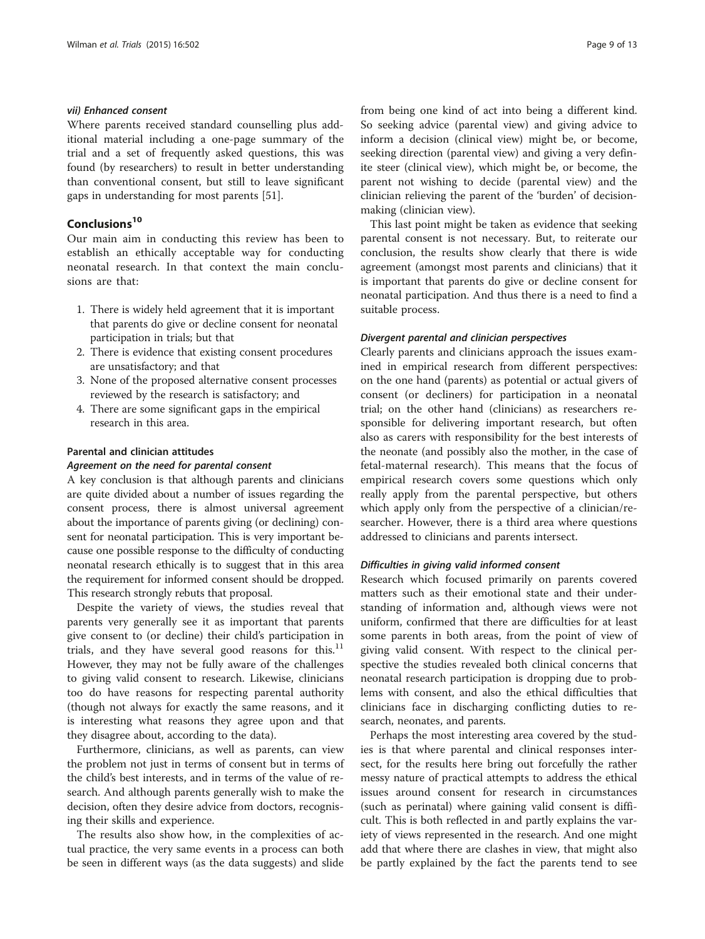#### vii) Enhanced consent

Where parents received standard counselling plus additional material including a one-page summary of the trial and a set of frequently asked questions, this was found (by researchers) to result in better understanding than conventional consent, but still to leave significant gaps in understanding for most parents [\[51](#page-11-0)].

# Conclusions<sup>10</sup>

Our main aim in conducting this review has been to establish an ethically acceptable way for conducting neonatal research. In that context the main conclusions are that:

- 1. There is widely held agreement that it is important that parents do give or decline consent for neonatal participation in trials; but that
- 2. There is evidence that existing consent procedures are unsatisfactory; and that
- 3. None of the proposed alternative consent processes reviewed by the research is satisfactory; and
- 4. There are some significant gaps in the empirical research in this area.

#### Parental and clinician attitudes

#### Agreement on the need for parental consent

A key conclusion is that although parents and clinicians are quite divided about a number of issues regarding the consent process, there is almost universal agreement about the importance of parents giving (or declining) consent for neonatal participation. This is very important because one possible response to the difficulty of conducting neonatal research ethically is to suggest that in this area the requirement for informed consent should be dropped. This research strongly rebuts that proposal.

Despite the variety of views, the studies reveal that parents very generally see it as important that parents give consent to (or decline) their child's participation in trials, and they have several good reasons for this. $^{11}$ However, they may not be fully aware of the challenges to giving valid consent to research. Likewise, clinicians too do have reasons for respecting parental authority (though not always for exactly the same reasons, and it is interesting what reasons they agree upon and that they disagree about, according to the data).

Furthermore, clinicians, as well as parents, can view the problem not just in terms of consent but in terms of the child's best interests, and in terms of the value of research. And although parents generally wish to make the decision, often they desire advice from doctors, recognising their skills and experience.

The results also show how, in the complexities of actual practice, the very same events in a process can both be seen in different ways (as the data suggests) and slide

from being one kind of act into being a different kind. So seeking advice (parental view) and giving advice to inform a decision (clinical view) might be, or become, seeking direction (parental view) and giving a very definite steer (clinical view), which might be, or become, the parent not wishing to decide (parental view) and the clinician relieving the parent of the 'burden' of decisionmaking (clinician view).

This last point might be taken as evidence that seeking parental consent is not necessary. But, to reiterate our conclusion, the results show clearly that there is wide agreement (amongst most parents and clinicians) that it is important that parents do give or decline consent for neonatal participation. And thus there is a need to find a suitable process.

#### Divergent parental and clinician perspectives

Clearly parents and clinicians approach the issues examined in empirical research from different perspectives: on the one hand (parents) as potential or actual givers of consent (or decliners) for participation in a neonatal trial; on the other hand (clinicians) as researchers responsible for delivering important research, but often also as carers with responsibility for the best interests of the neonate (and possibly also the mother, in the case of fetal-maternal research). This means that the focus of empirical research covers some questions which only really apply from the parental perspective, but others which apply only from the perspective of a clinician/researcher. However, there is a third area where questions addressed to clinicians and parents intersect.

#### Difficulties in giving valid informed consent

Research which focused primarily on parents covered matters such as their emotional state and their understanding of information and, although views were not uniform, confirmed that there are difficulties for at least some parents in both areas, from the point of view of giving valid consent. With respect to the clinical perspective the studies revealed both clinical concerns that neonatal research participation is dropping due to problems with consent, and also the ethical difficulties that clinicians face in discharging conflicting duties to research, neonates, and parents.

Perhaps the most interesting area covered by the studies is that where parental and clinical responses intersect, for the results here bring out forcefully the rather messy nature of practical attempts to address the ethical issues around consent for research in circumstances (such as perinatal) where gaining valid consent is difficult. This is both reflected in and partly explains the variety of views represented in the research. And one might add that where there are clashes in view, that might also be partly explained by the fact the parents tend to see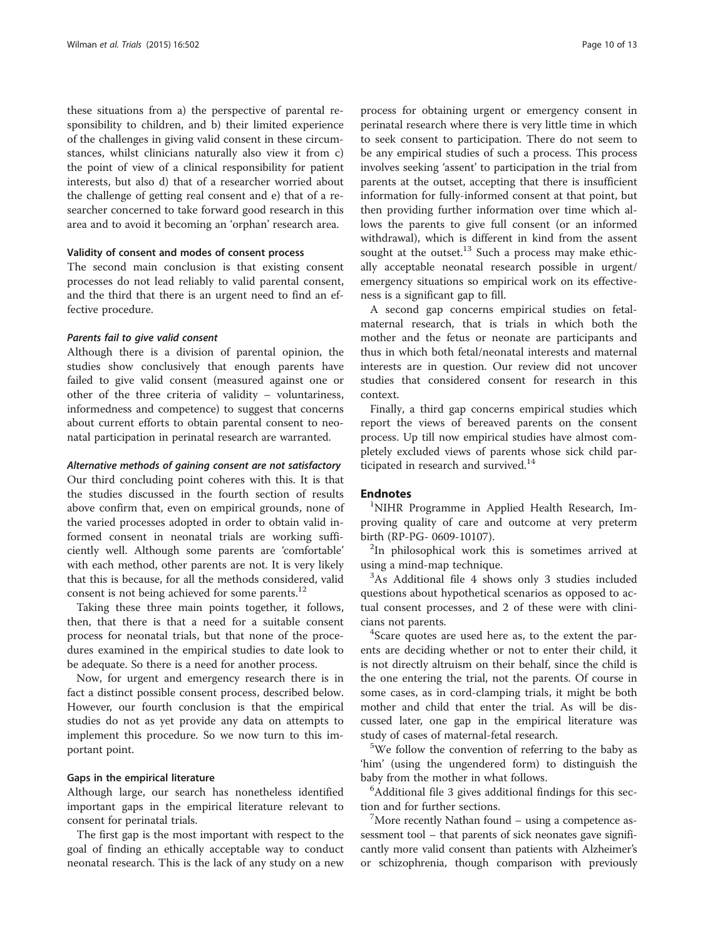these situations from a) the perspective of parental responsibility to children, and b) their limited experience of the challenges in giving valid consent in these circumstances, whilst clinicians naturally also view it from c) the point of view of a clinical responsibility for patient interests, but also d) that of a researcher worried about the challenge of getting real consent and e) that of a researcher concerned to take forward good research in this area and to avoid it becoming an 'orphan' research area.

#### Validity of consent and modes of consent process

The second main conclusion is that existing consent processes do not lead reliably to valid parental consent, and the third that there is an urgent need to find an effective procedure.

#### Parents fail to give valid consent

Although there is a division of parental opinion, the studies show conclusively that enough parents have failed to give valid consent (measured against one or other of the three criteria of validity – voluntariness, informedness and competence) to suggest that concerns about current efforts to obtain parental consent to neonatal participation in perinatal research are warranted.

#### Alternative methods of gaining consent are not satisfactory

Our third concluding point coheres with this. It is that the studies discussed in the fourth section of results above confirm that, even on empirical grounds, none of the varied processes adopted in order to obtain valid informed consent in neonatal trials are working sufficiently well. Although some parents are 'comfortable' with each method, other parents are not. It is very likely that this is because, for all the methods considered, valid consent is not being achieved for some parents.<sup>12</sup>

Taking these three main points together, it follows, then, that there is that a need for a suitable consent process for neonatal trials, but that none of the procedures examined in the empirical studies to date look to be adequate. So there is a need for another process.

Now, for urgent and emergency research there is in fact a distinct possible consent process, described below. However, our fourth conclusion is that the empirical studies do not as yet provide any data on attempts to implement this procedure. So we now turn to this important point.

#### Gaps in the empirical literature

Although large, our search has nonetheless identified important gaps in the empirical literature relevant to consent for perinatal trials.

The first gap is the most important with respect to the goal of finding an ethically acceptable way to conduct neonatal research. This is the lack of any study on a new

process for obtaining urgent or emergency consent in perinatal research where there is very little time in which to seek consent to participation. There do not seem to be any empirical studies of such a process. This process involves seeking 'assent' to participation in the trial from parents at the outset, accepting that there is insufficient information for fully-informed consent at that point, but then providing further information over time which allows the parents to give full consent (or an informed withdrawal), which is different in kind from the assent sought at the outset. $13$  Such a process may make ethically acceptable neonatal research possible in urgent/ emergency situations so empirical work on its effectiveness is a significant gap to fill.

A second gap concerns empirical studies on fetalmaternal research, that is trials in which both the mother and the fetus or neonate are participants and thus in which both fetal/neonatal interests and maternal interests are in question. Our review did not uncover studies that considered consent for research in this context.

Finally, a third gap concerns empirical studies which report the views of bereaved parents on the consent process. Up till now empirical studies have almost completely excluded views of parents whose sick child participated in research and survived.<sup>14</sup>

#### **Endnotes**

<sup>1</sup>NIHR Programme in Applied Health Research, Improving quality of care and outcome at very preterm birth (RP-PG- 0609-10107). <sup>2</sup>

 $2$ In philosophical work this is sometimes arrived at using a mind-map technique.

<sup>3</sup>As Additional file 4 shows only 3 studies included questions about hypothetical scenarios as opposed to actual consent processes, and 2 of these were with clinicians not parents. <sup>4</sup>

<sup>4</sup>Scare quotes are used here as, to the extent the parents are deciding whether or not to enter their child, it is not directly altruism on their behalf, since the child is the one entering the trial, not the parents. Of course in some cases, as in cord-clamping trials, it might be both mother and child that enter the trial. As will be discussed later, one gap in the empirical literature was study of cases of maternal-fetal research. <sup>5</sup>

<sup>5</sup>We follow the convention of referring to the baby as 'him' (using the ungendered form) to distinguish the baby from the mother in what follows.

<sup>6</sup>Additional file 3 gives additional findings for this section and for further sections.

 $\gamma$ More recently Nathan found – using a competence assessment tool – that parents of sick neonates gave significantly more valid consent than patients with Alzheimer's or schizophrenia, though comparison with previously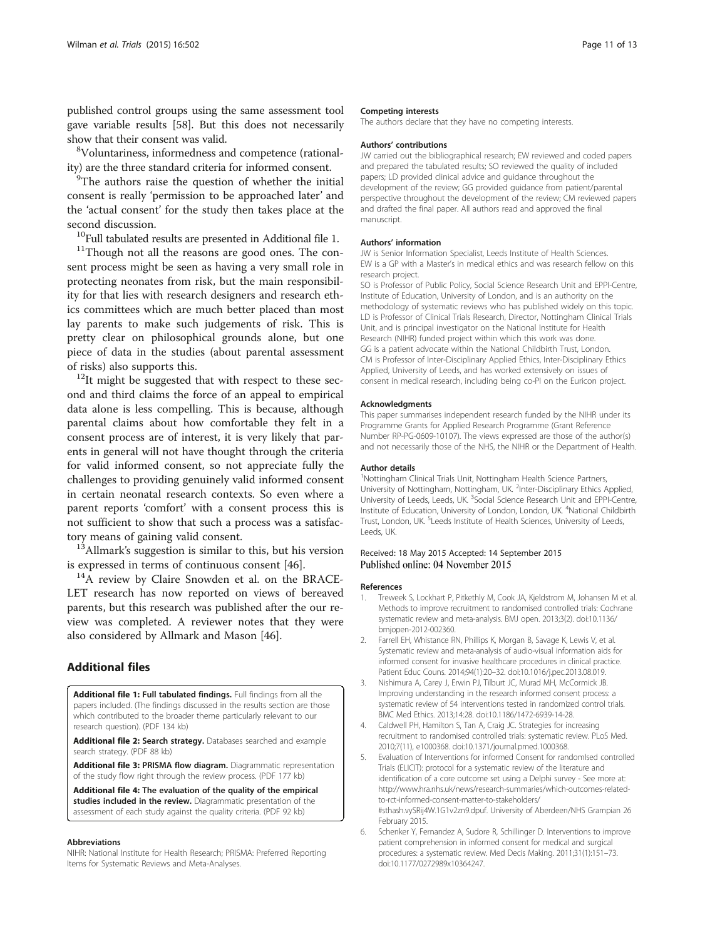<span id="page-10-0"></span>published control groups using the same assessment tool gave variable results [[58](#page-12-0)]. But this does not necessarily show that their consent was valid.

Voluntariness, informedness and competence (rationality) are the three standard criteria for informed consent.

 ${}^{9}$ The authors raise the question of whether the initial consent is really 'permission to be approached later' and the 'actual consent' for the study then takes place at the second discussion.  $10F$ ull tabulated results are presented in Additional file 1.

 $11$ Though not all the reasons are good ones. The consent process might be seen as having a very small role in protecting neonates from risk, but the main responsibility for that lies with research designers and research ethics committees which are much better placed than most lay parents to make such judgements of risk. This is pretty clear on philosophical grounds alone, but one piece of data in the studies (about parental assessment of risks) also supports this.<br><sup>12</sup>It might be suggested that with respect to these sec-

ond and third claims the force of an appeal to empirical data alone is less compelling. This is because, although parental claims about how comfortable they felt in a consent process are of interest, it is very likely that parents in general will not have thought through the criteria for valid informed consent, so not appreciate fully the challenges to providing genuinely valid informed consent in certain neonatal research contexts. So even where a parent reports 'comfort' with a consent process this is not sufficient to show that such a process was a satisfactory means of gaining valid consent.<br><sup>13</sup>Allmark's suggestion is similar to this, but his version

is expressed in terms of continuous consent [[46\]](#page-11-0).<br><sup>14</sup>A review by Claire Snowden et al. on the BRACE-

LET research has now reported on views of bereaved parents, but this research was published after the our review was completed. A reviewer notes that they were also considered by Allmark and Mason [\[46](#page-11-0)].

# Additional files

[Additional file 1:](http://www.trialsjournal.com/content/supplementary/s13063-015-0957-x-s1.pdf) Full tabulated findings. Full findings from all the papers included. (The findings discussed in the results section are those which contributed to the broader theme particularly relevant to our research question). (PDF 134 kb)

[Additional file 2:](http://www.trialsjournal.com/content/supplementary/s13063-015-0957-x-s2.pdf) Search strategy. Databases searched and example search strategy. (PDF 88 kb)

[Additional file 3:](http://www.trialsjournal.com/content/supplementary/s13063-015-0957-x-s3.pdf) PRISMA flow diagram. Diagrammatic representation of the study flow right through the review process. (PDF 177 kb)

[Additional file 4:](http://www.trialsjournal.com/content/supplementary/s13063-015-0957-x-s4.pdf) The evaluation of the quality of the empirical studies included in the review. Diagrammatic presentation of the assessment of each study against the quality criteria. (PDF 92 kb)

#### Abbreviations

NIHR: National Institute for Health Research; PRISMA: Preferred Reporting Items for Systematic Reviews and Meta-Analyses.

#### Competing interests

The authors declare that they have no competing interests.

#### Authors' contributions

JW carried out the bibliographical research; EW reviewed and coded papers and prepared the tabulated results; SO reviewed the quality of included papers; LD provided clinical advice and guidance throughout the development of the review; GG provided guidance from patient/parental perspective throughout the development of the review; CM reviewed papers and drafted the final paper. All authors read and approved the final manuscript.

#### Authors' information

JW is Senior Information Specialist, Leeds Institute of Health Sciences. EW is a GP with a Master's in medical ethics and was research fellow on this research project.

SO is Professor of Public Policy, Social Science Research Unit and EPPI-Centre, Institute of Education, University of London, and is an authority on the methodology of systematic reviews who has published widely on this topic. LD is Professor of Clinical Trials Research, Director, Nottingham Clinical Trials Unit, and is principal investigator on the National Institute for Health Research (NIHR) funded project within which this work was done. GG is a patient advocate within the National Childbirth Trust, London. CM is Professor of Inter-Disciplinary Applied Ethics, Inter-Disciplinary Ethics Applied, University of Leeds, and has worked extensively on issues of consent in medical research, including being co-PI on the Euricon project.

#### Acknowledgments

This paper summarises independent research funded by the NIHR under its Programme Grants for Applied Research Programme (Grant Reference Number RP-PG-0609-10107). The views expressed are those of the author(s) and not necessarily those of the NHS, the NIHR or the Department of Health.

#### Author details

<sup>1</sup>Nottingham Clinical Trials Unit, Nottingham Health Science Partners, University of Nottingham, Nottingham, UK. <sup>2</sup>Inter-Disciplinary Ethics Applied University of Leeds, Leeds, UK. <sup>3</sup>Social Science Research Unit and EPPI-Centre Institute of Education, University of London, London, UK. <sup>4</sup>National Childbirth Trust, London, UK. <sup>5</sup> Leeds Institute of Health Sciences, University of Leeds, Leeds, UK.

# Received: 18 May 2015 Accepted: 14 September 2015<br>Published online: 04 November 2015

#### References

- 1. Treweek S, Lockhart P, Pitkethly M, Cook JA, Kjeldstrom M, Johansen M et al. Methods to improve recruitment to randomised controlled trials: Cochrane systematic review and meta-analysis. BMJ open. 2013;3(2). doi:10.1136/ bmjopen-2012-002360.
- 2. Farrell EH, Whistance RN, Phillips K, Morgan B, Savage K, Lewis V, et al. Systematic review and meta-analysis of audio-visual information aids for informed consent for invasive healthcare procedures in clinical practice. Patient Educ Couns. 2014;94(1):20–32. doi:10.1016/j.pec.2013.08.019.
- 3. Nishimura A, Carey J, Erwin PJ, Tilburt JC, Murad MH, McCormick JB. Improving understanding in the research informed consent process: a systematic review of 54 interventions tested in randomized control trials. BMC Med Ethics. 2013;14:28. doi:10.1186/1472-6939-14-28.
- 4. Caldwell PH, Hamilton S, Tan A, Craig JC. Strategies for increasing recruitment to randomised controlled trials: systematic review. PLoS Med. 2010;7(11), e1000368. doi:10.1371/journal.pmed.1000368.
- 5. Evaluation of Interventions for informed Consent for randomIsed controlled Trials (ELICIT): protocol for a systematic review of the literature and identification of a core outcome set using a Delphi survey - See more at: http://www.hra.nhs.uk/news/research-summaries/which-outcomes-relatedto-rct-informed-consent-matter-to-stakeholders/ #sthash.vySRij4W.1G1v2zn9.dpuf. University of Aberdeen/NHS Grampian 26 February 2015.
- 6. Schenker Y, Fernandez A, Sudore R, Schillinger D. Interventions to improve patient comprehension in informed consent for medical and surgical procedures: a systematic review. Med Decis Making. 2011;31(1):151–73. doi:10.1177/0272989x10364247.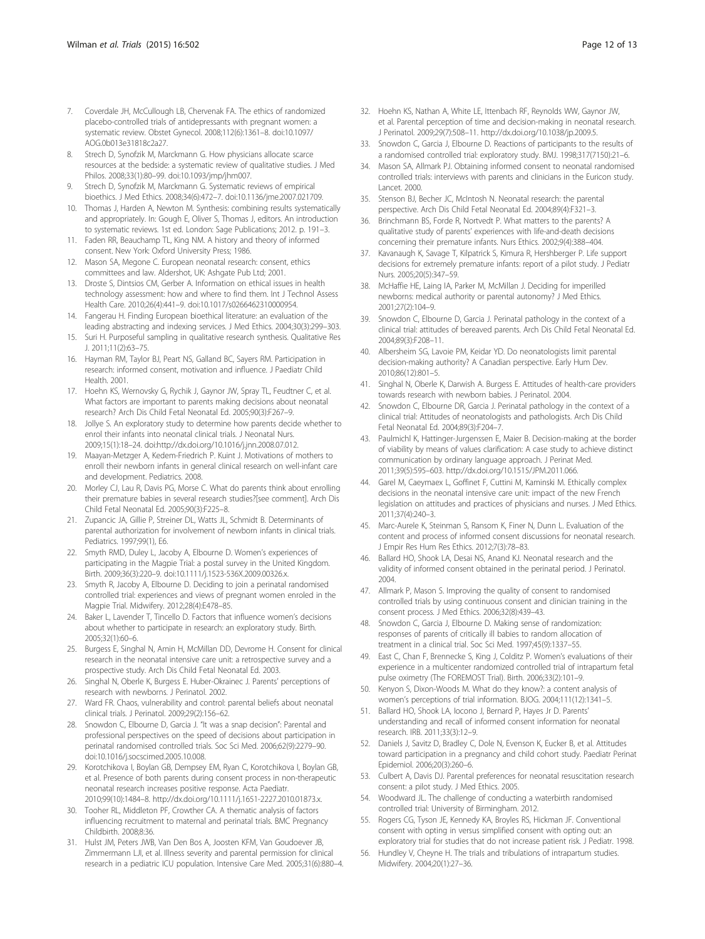- <span id="page-11-0"></span>7. Coverdale JH, McCullough LB, Chervenak FA. The ethics of randomized placebo-controlled trials of antidepressants with pregnant women: a systematic review. Obstet Gynecol. 2008;112(6):1361–8. doi:10.1097/ AOG.0b013e31818c2a27.
- 8. Strech D, Synofzik M, Marckmann G. How physicians allocate scarce resources at the bedside: a systematic review of qualitative studies. J Med Philos. 2008;33(1):80–99. doi:10.1093/jmp/jhm007.
- Strech D, Synofzik M, Marckmann G. Systematic reviews of empirical bioethics. J Med Ethics. 2008;34(6):472–7. doi:10.1136/jme.2007.021709.
- 10. Thomas J, Harden A, Newton M. Synthesis: combining results systematically and appropriately. In: Gough E, Oliver S, Thomas J, editors. An introduction to systematic reviews. 1st ed. London: Sage Publications; 2012. p. 191–3.
- 11. Faden RR, Beauchamp TL, King NM. A history and theory of informed consent. New York: Oxford University Press; 1986.
- 12. Mason SA, Megone C. European neonatal research: consent, ethics committees and law. Aldershot, UK: Ashgate Pub Ltd; 2001.
- 13. Droste S, Dintsios CM, Gerber A. Information on ethical issues in health technology assessment: how and where to find them. Int J Technol Assess Health Care. 2010;26(4):441–9. doi:10.1017/s0266462310000954.
- 14. Fangerau H. Finding European bioethical literature: an evaluation of the leading abstracting and indexing services. J Med Ethics. 2004;30(3):299–303.
- 15. Suri H. Purposeful sampling in qualitative research synthesis. Qualitative Res J. 2011;11(2):63–75.
- 16. Hayman RM, Taylor BJ, Peart NS, Galland BC, Sayers RM. Participation in research: informed consent, motivation and influence. J Paediatr Child Health. 2001.
- 17. Hoehn KS, Wernovsky G, Rychik J, Gaynor JW, Spray TL, Feudtner C, et al. What factors are important to parents making decisions about neonatal research? Arch Dis Child Fetal Neonatal Ed. 2005;90(3):F267–9.
- 18. Jollye S. An exploratory study to determine how parents decide whether to enrol their infants into neonatal clinical trials. J Neonatal Nurs. 2009;15(1):18–24. doi:http://dx.doi.org/10.1016/j.jnn.2008.07.012.
- 19. Maayan-Metzger A, Kedem-Friedrich P. Kuint J. Motivations of mothers to enroll their newborn infants in general clinical research on well-infant care and development. Pediatrics. 2008.
- 20. Morley CJ, Lau R, Davis PG, Morse C. What do parents think about enrolling their premature babies in several research studies?[see comment]. Arch Dis Child Fetal Neonatal Ed. 2005;90(3):F225–8.
- 21. Zupancic JA, Gillie P, Streiner DL, Watts JL, Schmidt B. Determinants of parental authorization for involvement of newborn infants in clinical trials. Pediatrics. 1997;99(1), E6.
- 22. Smyth RMD, Duley L, Jacoby A, Elbourne D. Women's experiences of participating in the Magpie Trial: a postal survey in the United Kingdom. Birth. 2009;36(3):220–9. doi:10.1111/j.1523-536X.2009.00326.x.
- 23. Smyth R, Jacoby A, Elbourne D. Deciding to join a perinatal randomised controlled trial: experiences and views of pregnant women enroled in the Magpie Trial. Midwifery. 2012;28(4):E478–85.
- 24. Baker L, Lavender T, Tincello D. Factors that influence women's decisions about whether to participate in research: an exploratory study. Birth. 2005;32(1):60–6.
- 25. Burgess E, Singhal N, Amin H, McMillan DD, Devrome H. Consent for clinical research in the neonatal intensive care unit: a retrospective survey and a prospective study. Arch Dis Child Fetal Neonatal Ed. 2003.
- 26. Singhal N, Oberle K, Burgess E. Huber-Okrainec J. Parents' perceptions of research with newborns. J Perinatol. 2002.
- 27. Ward FR. Chaos, vulnerability and control: parental beliefs about neonatal clinical trials. J Perinatol. 2009;29(2):156–62.
- 28. Snowdon C, Elbourne D, Garcia J. "It was a snap decision": Parental and professional perspectives on the speed of decisions about participation in perinatal randomised controlled trials. Soc Sci Med. 2006;62(9):2279–90. doi:10.1016/j.socscimed.2005.10.008.
- 29. Korotchikova I, Boylan GB, Dempsey EM, Ryan C, Korotchikova I, Boylan GB, et al. Presence of both parents during consent process in non-therapeutic neonatal research increases positive response. Acta Paediatr. 2010;99(10):1484–8. http://dx.doi.org/10.1111/j.1651-2227.2010.01873.x.
- 30. Tooher RL, Middleton PF, Crowther CA. A thematic analysis of factors influencing recruitment to maternal and perinatal trials. BMC Pregnancy Childbirth. 2008;8:36.
- 31. Hulst JM, Peters JWB, Van Den Bos A, Joosten KFM, Van Goudoever JB, Zimmermann LJI, et al. Illness severity and parental permission for clinical research in a pediatric ICU population. Intensive Care Med. 2005;31(6):880–4.
- 32. Hoehn KS, Nathan A, White LE, Ittenbach RF, Reynolds WW, Gaynor JW, et al. Parental perception of time and decision-making in neonatal research. J Perinatol. 2009;29(7):508–11. http://dx.doi.org/10.1038/jp.2009.5.
- 33. Snowdon C, Garcia J, Elbourne D. Reactions of participants to the results of a randomised controlled trial: exploratory study. BMJ. 1998;317(7150):21–6.
- 34. Mason SA, Allmark PJ. Obtaining informed consent to neonatal randomised controlled trials: interviews with parents and clinicians in the Euricon study. Lancet. 2000.
- 35. Stenson BJ, Becher JC, McIntosh N. Neonatal research: the parental perspective. Arch Dis Child Fetal Neonatal Ed. 2004;89(4):F321–3.
- 36. Brinchmann BS, Forde R, Nortvedt P. What matters to the parents? A qualitative study of parents' experiences with life-and-death decisions concerning their premature infants. Nurs Ethics. 2002;9(4):388–404.
- 37. Kavanaugh K, Savage T, Kilpatrick S, Kimura R, Hershberger P. Life support decisions for extremely premature infants: report of a pilot study. J Pediatr Nurs. 2005;20(5):347–59.
- 38. McHaffie HE, Laing IA, Parker M, McMillan J. Deciding for imperilled newborns: medical authority or parental autonomy? J Med Ethics. 2001;27(2):104–9.
- 39. Snowdon C, Elbourne D, Garcia J. Perinatal pathology in the context of a clinical trial: attitudes of bereaved parents. Arch Dis Child Fetal Neonatal Ed. 2004;89(3):F208–11.
- 40. Albersheim SG, Lavoie PM, Keidar YD. Do neonatologists limit parental decision-making authority? A Canadian perspective. Early Hum Dev. 2010;86(12):801–5.
- 41. Singhal N, Oberle K, Darwish A. Burgess E. Attitudes of health-care providers towards research with newborn babies. J Perinatol. 2004.
- 42. Snowdon C, Elbourne DR, Garcia J. Perinatal pathology in the context of a clinical trial: Attitudes of neonatologists and pathologists. Arch Dis Child Fetal Neonatal Ed. 2004;89(3):F204–7.
- 43. Paulmichl K, Hattinger-Jurgenssen E, Maier B. Decision-making at the border of viability by means of values clarification: A case study to achieve distinct communication by ordinary language approach. J Perinat Med. 2011;39(5):595–603. http://dx.doi.org/10.1515/JPM.2011.066.
- 44. Garel M, Caeymaex L, Goffinet F, Cuttini M, Kaminski M. Ethically complex decisions in the neonatal intensive care unit: impact of the new French legislation on attitudes and practices of physicians and nurses. J Med Ethics. 2011;37(4):240–3.
- 45. Marc-Aurele K, Steinman S, Ransom K, Finer N, Dunn L. Evaluation of the content and process of informed consent discussions for neonatal research. J Empir Res Hum Res Ethics. 2012;7(3):78–83.
- 46. Ballard HO, Shook LA, Desai NS, Anand KJ. Neonatal research and the validity of informed consent obtained in the perinatal period. J Perinatol. 2004.
- 47. Allmark P, Mason S. Improving the quality of consent to randomised controlled trials by using continuous consent and clinician training in the consent process. J Med Ethics. 2006;32(8):439–43.
- 48. Snowdon C, Garcia J, Elbourne D. Making sense of randomization: responses of parents of critically ill babies to random allocation of treatment in a clinical trial. Soc Sci Med. 1997;45(9):1337–55.
- 49. East C, Chan F, Brennecke S, King J, Colditz P. Women's evaluations of their experience in a multicenter randomized controlled trial of intrapartum fetal pulse oximetry (The FOREMOST Trial). Birth. 2006;33(2):101–9.
- 50. Kenyon S, Dixon-Woods M. What do they know?: a content analysis of women's perceptions of trial information. BJOG. 2004;111(12):1341–5.
- 51. Ballard HO, Shook LA, Iocono J, Bernard P, Hayes Jr D. Parents' understanding and recall of informed consent information for neonatal research. IRB. 2011;33(3):12–9.
- 52. Daniels J, Savitz D, Bradley C, Dole N, Evenson K, Eucker B, et al. Attitudes toward participation in a pregnancy and child cohort study. Paediatr Perinat Epidemiol. 2006;20(3):260–6.
- 53. Culbert A, Davis DJ. Parental preferences for neonatal resuscitation research consent: a pilot study. J Med Ethics. 2005.
- 54. Woodward JL. The challenge of conducting a waterbirth randomised controlled trial: University of Birmingham. 2012.
- 55. Rogers CG, Tyson JE, Kennedy KA, Broyles RS, Hickman JF. Conventional consent with opting in versus simplified consent with opting out: an exploratory trial for studies that do not increase patient risk. J Pediatr. 1998.
- 56. Hundley V, Cheyne H. The trials and tribulations of intrapartum studies. Midwifery. 2004;20(1):27–36.